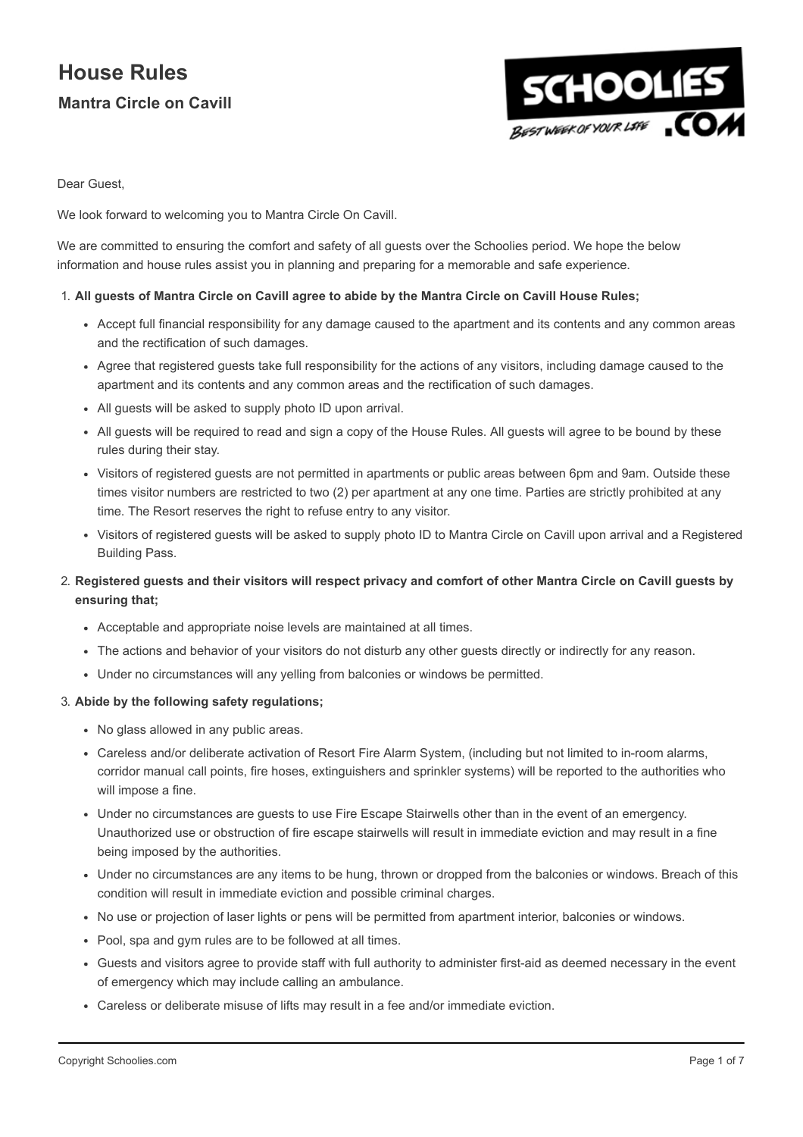

Dear Guest,

We look forward to welcoming you to Mantra Circle On Cavill.

We are committed to ensuring the comfort and safety of all guests over the Schoolies period. We hope the below information and house rules assist you in planning and preparing for a memorable and safe experience.

#### 1. All guests of Mantra Circle on Cavill agree to abide by the Mantra Circle on Cavill House Rules;

- Accept full financial responsibility for any damage caused to the apartment and its contents and any common areas and the rectification of such damages.
- Agree that registered guests take full responsibility for the actions of any visitors, including damage caused to the apartment and its contents and any common areas and the rectification of such damages.
- All guests will be asked to supply photo ID upon arrival.
- All guests will be required to read and sign a copy of the House Rules. All guests will agree to be bound by these rules during their stay.
- Visitors of registered guests are not permitted in apartments or public areas between 6pm and 9am. Outside these times visitor numbers are restricted to two (2) per apartment at any one time. Parties are strictly prohibited at any time. The Resort reserves the right to refuse entry to any visitor.
- Visitors of registered guests will be asked to supply photo ID to Mantra Circle on Cavill upon arrival and a Registered Building Pass.

### 2. Registered guests and their visitors will respect privacy and comfort of other Mantra Circle on Cavill guests by ensuring that;

- Acceptable and appropriate noise levels are maintained at all times.
- The actions and behavior of your visitors do not disturb any other guests directly or indirectly for any reason.
- Under no circumstances will any yelling from balconies or windows be permitted.

#### 3. Abide by the following safety regulations;

- No glass allowed in any public areas.
- Careless and/or deliberate activation of Resort Fire Alarm System, (including but not limited to in-room alarms, corridor manual call points, fire hoses, extinguishers and sprinkler systems) will be reported to the authorities who will impose a fine.
- Under no circumstances are guests to use Fire Escape Stairwells other than in the event of an emergency. Unauthorized use or obstruction of fire escape stairwells will result in immediate eviction and may result in a fine being imposed by the authorities.
- Under no circumstances are any items to be hung, thrown or dropped from the balconies or windows. Breach of this condition will result in immediate eviction and possible criminal charges.
- No use or projection of laser lights or pens will be permitted from apartment interior, balconies or windows.
- Pool, spa and gym rules are to be followed at all times.
- Guests and visitors agree to provide staff with full authority to administer first-aid as deemed necessary in the event of emergency which may include calling an ambulance.
- Careless or deliberate misuse of lifts may result in a fee and/or immediate eviction.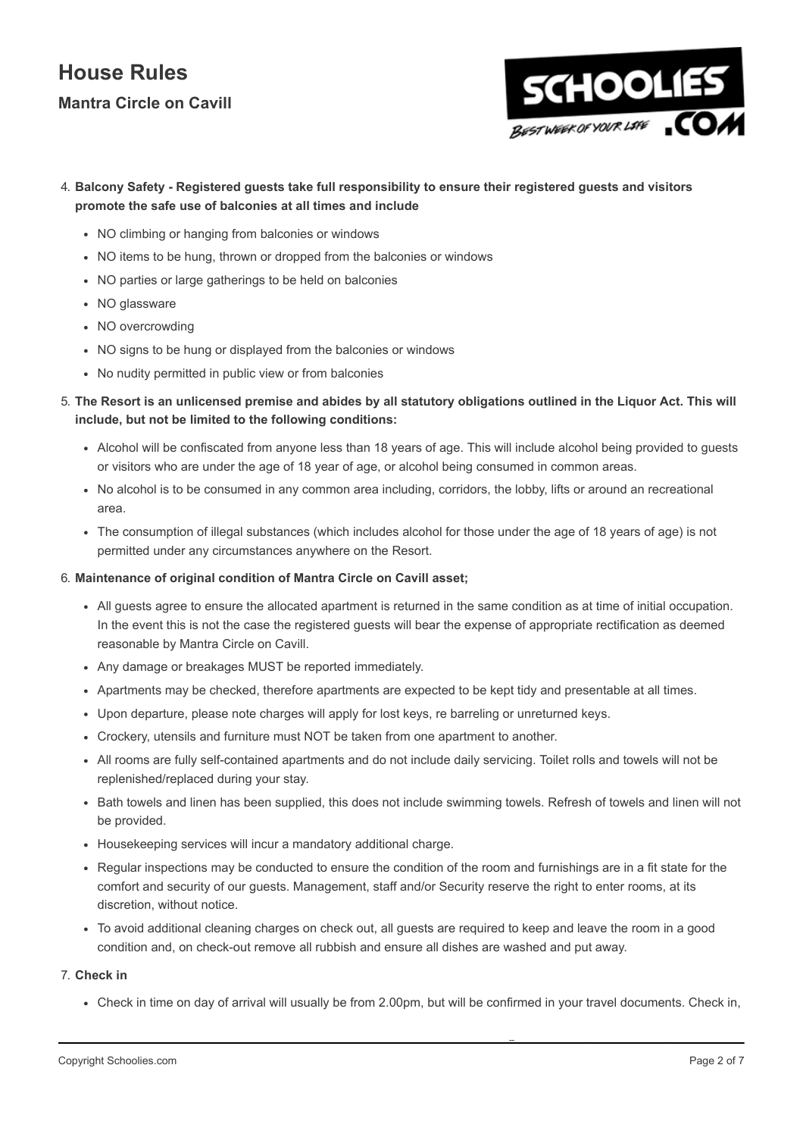# House Rules

### Mantra Circle on Cavill



### 4. Balcony Safety - Registered guests take full responsibility to ensure their registered guests and visitors promote the safe use of balconies at all times and include

- NO climbing or hanging from balconies or windows
- NO items to be hung, thrown or dropped from the balconies or windows
- NO parties or large gatherings to be held on balconies
- NO glassware
- NO overcrowding
- NO signs to be hung or displayed from the balconies or windows
- No nudity permitted in public view or from balconies
- 5. The Resort is an unlicensed premise and abides by all statutory obligations outlined in the Liquor Act. This will include, but not be limited to the following conditions:
	- Alcohol will be confiscated from anyone less than 18 years of age. This will include alcohol being provided to guests or visitors who are under the age of 18 year of age, or alcohol being consumed in common areas.
	- No alcohol is to be consumed in any common area including, corridors, the lobby, lifts or around an recreational area.
	- The consumption of illegal substances (which includes alcohol for those under the age of 18 years of age) is not permitted under any circumstances anywhere on the Resort.

#### 6. Maintenance of original condition of Mantra Circle on Cavill asset;

- All guests agree to ensure the allocated apartment is returned in the same condition as at time of initial occupation. In the event this is not the case the registered guests will bear the expense of appropriate rectification as deemed reasonable by Mantra Circle on Cavill.
- Any damage or breakages MUST be reported immediately.
- Apartments may be checked, therefore apartments are expected to be kept tidy and presentable at all times.
- Upon departure, please note charges will apply for lost keys, re barreling or unreturned keys.
- Crockery, utensils and furniture must NOT be taken from one apartment to another.
- All rooms are fully self-contained apartments and do not include daily servicing. Toilet rolls and towels will not be replenished/replaced during your stay.
- Bath towels and linen has been supplied, this does not include swimming towels. Refresh of towels and linen will not be provided.
- Housekeeping services will incur a mandatory additional charge.
- Regular inspections may be conducted to ensure the condition of the room and furnishings are in a fit state for the comfort and security of our guests. Management, staff and/or Security reserve the right to enter rooms, at its discretion, without notice.
- To avoid additional cleaning charges on check out, all guests are required to keep and leave the room in a good condition and, on check-out remove all rubbish and ensure all dishes are washed and put away.

### 7. Check in

Check in time on day of arrival will usually be from 2.00pm, but will be confirmed in your travel documents. Check in,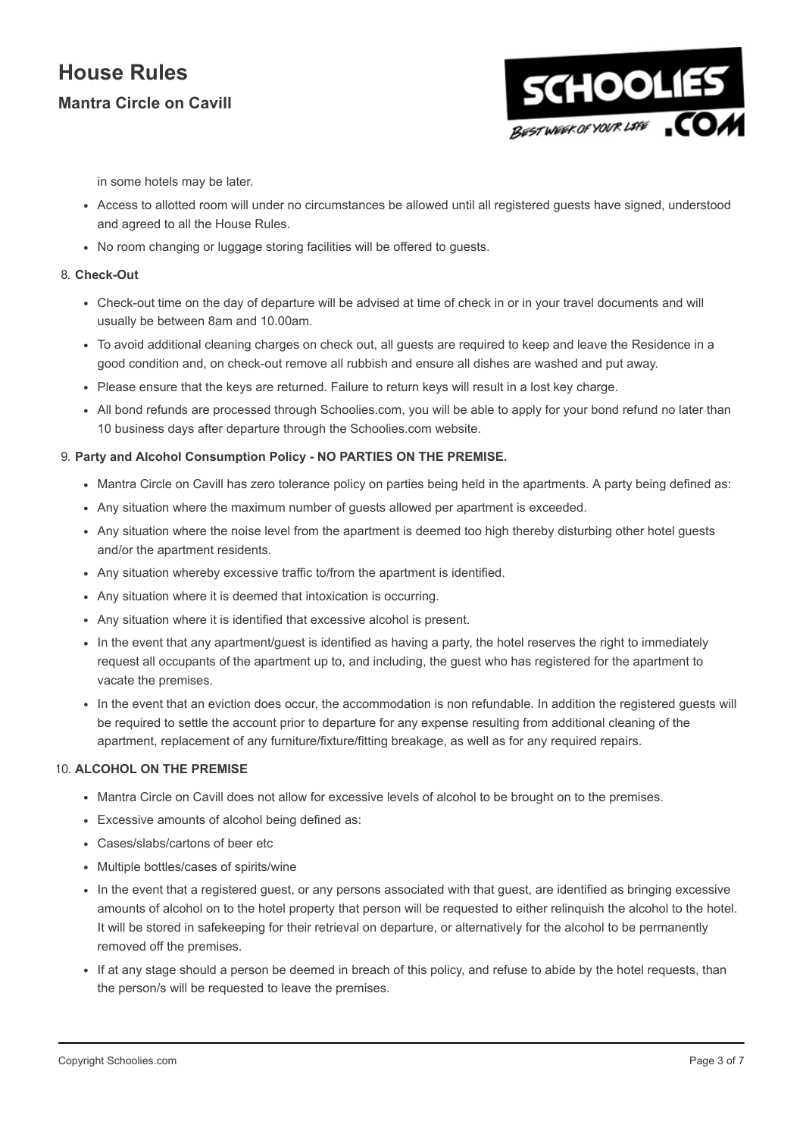

in some hotels may be later.

- Access to allotted room will under no circumstances be allowed until all registered guests have signed, understood and agreed to all the House Rules.
- No room changing or luggage storing facilities will be offered to quests.

#### 8. Check-Out

- Check-out time on the day of departure will be advised at time of check in or in your travel documents and will usually be between 8am and 10.00am.
- To avoid additional cleaning charges on check out, all guests are required to keep and leave the Residence in a good condition and, on check-out remove all rubbish and ensure all dishes are washed and put away.
- Please ensure that the keys are returned. Failure to return keys will result in a lost key charge.
- All bond refunds are processed through Schoolies.com, you will be able to apply for your bond refund no later than 10 business days after departure through the Schoolies.com website.

#### 9. Party and Alcohol Consumption Policy - NO PARTIES ON THE PREMISE.

- Mantra Circle on Cavill has zero tolerance policy on parties being held in the apartments. A party being defined as:
- Any situation where the maximum number of guests allowed per apartment is exceeded.
- Any situation where the noise level from the apartment is deemed too high thereby disturbing other hotel guests and/or the apartment residents.
- Any situation whereby excessive traffic to/from the apartment is identified.
- Any situation where it is deemed that intoxication is occurring.
- Any situation where it is identified that excessive alcohol is present.
- In the event that any apartment/guest is identified as having a party, the hotel reserves the right to immediately request all occupants of the apartment up to, and including, the guest who has registered for the apartment to vacate the premises.
- In the event that an eviction does occur, the accommodation is non refundable. In addition the registered guests will be required to settle the account prior to departure for any expense resulting from additional cleaning of the apartment, replacement of any furniture/fixture/fitting breakage, as well as for any required repairs.

#### 10. ALCOHOL ON THE PREMISE

- Mantra Circle on Cavill does not allow for excessive levels of alcohol to be brought on to the premises.
- Excessive amounts of alcohol being defined as:
- Cases/slabs/cartons of beer etc
- Multiple bottles/cases of spirits/wine
- In the event that a registered guest, or any persons associated with that guest, are identified as bringing excessive amounts of alcohol on to the hotel property that person will be requested to either relinquish the alcohol to the hotel. It will be stored in safekeeping for their retrieval on departure, or alternatively for the alcohol to be permanently removed off the premises.
- If at any stage should a person be deemed in breach of this policy, and refuse to abide by the hotel requests, than the person/s will be requested to leave the premises.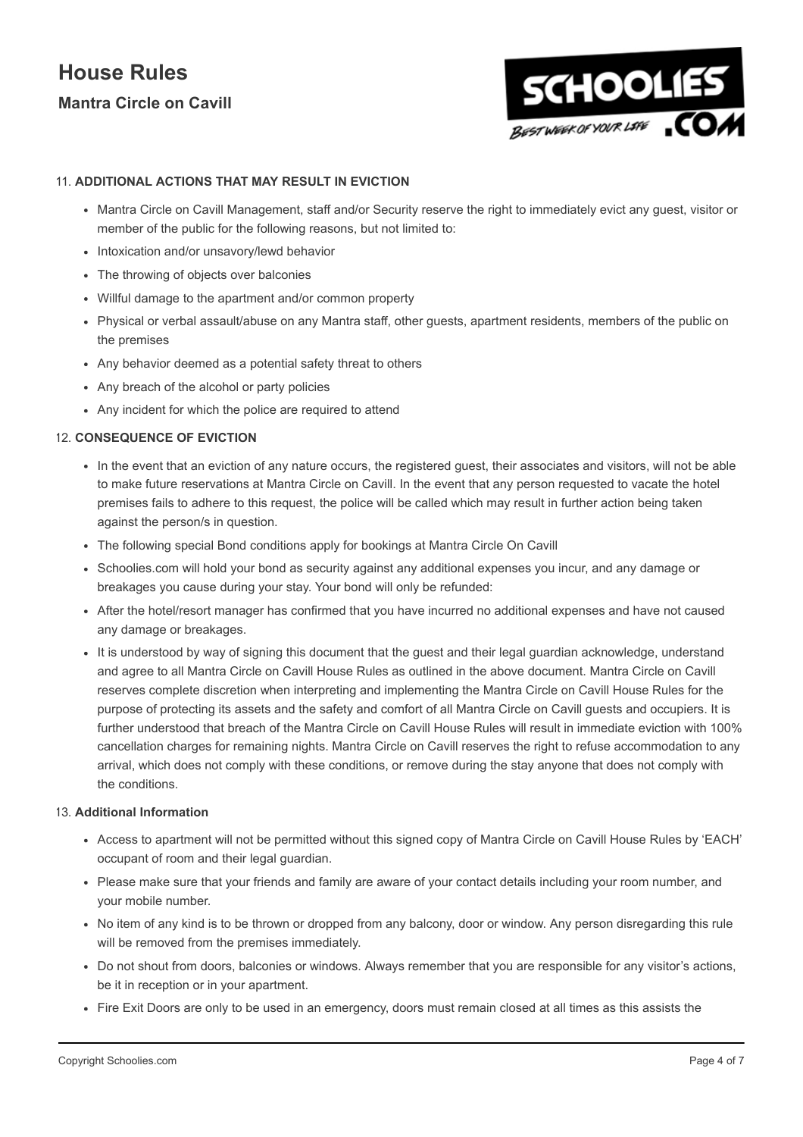

#### 11. ADDITIONAL ACTIONS THAT MAY RESULT IN EVICTION

- Mantra Circle on Cavill Management, staff and/or Security reserve the right to immediately evict any guest, visitor or member of the public for the following reasons, but not limited to:
- Intoxication and/or unsavory/lewd behavior
- The throwing of objects over balconies
- Willful damage to the apartment and/or common property
- Physical or verbal assault/abuse on any Mantra staff, other guests, apartment residents, members of the public on the premises
- Any behavior deemed as a potential safety threat to others
- Any breach of the alcohol or party policies
- Any incident for which the police are required to attend

#### 12. CONSEQUENCE OF EVICTION

- In the event that an eviction of any nature occurs, the registered guest, their associates and visitors, will not be able to make future reservations at Mantra Circle on Cavill. In the event that any person requested to vacate the hotel premises fails to adhere to this request, the police will be called which may result in further action being taken against the person/s in question.
- The following special Bond conditions apply for bookings at Mantra Circle On Cavill
- Schoolies.com will hold your bond as security against any additional expenses you incur, and any damage or breakages you cause during your stay. Your bond will only be refunded:
- After the hotel/resort manager has confirmed that you have incurred no additional expenses and have not caused any damage or breakages.
- It is understood by way of signing this document that the guest and their legal guardian acknowledge, understand and agree to all Mantra Circle on Cavill House Rules as outlined in the above document. Mantra Circle on Cavill reserves complete discretion when interpreting and implementing the Mantra Circle on Cavill House Rules for the purpose of protecting its assets and the safety and comfort of all Mantra Circle on Cavill guests and occupiers. It is further understood that breach of the Mantra Circle on Cavill House Rules will result in immediate eviction with 100% cancellation charges for remaining nights. Mantra Circle on Cavill reserves the right to refuse accommodation to any arrival, which does not comply with these conditions, or remove during the stay anyone that does not comply with the conditions.

#### 13. Additional Information

- Access to apartment will not be permitted without this signed copy of Mantra Circle on Cavill House Rules by 'EACH' occupant of room and their legal guardian.
- Please make sure that your friends and family are aware of your contact details including your room number, and your mobile number.
- No item of any kind is to be thrown or dropped from any balcony, door or window. Any person disregarding this rule will be removed from the premises immediately.
- Do not shout from doors, balconies or windows. Always remember that you are responsible for any visitor's actions, be it in reception or in your apartment.
- Fire Exit Doors are only to be used in an emergency, doors must remain closed at all times as this assists the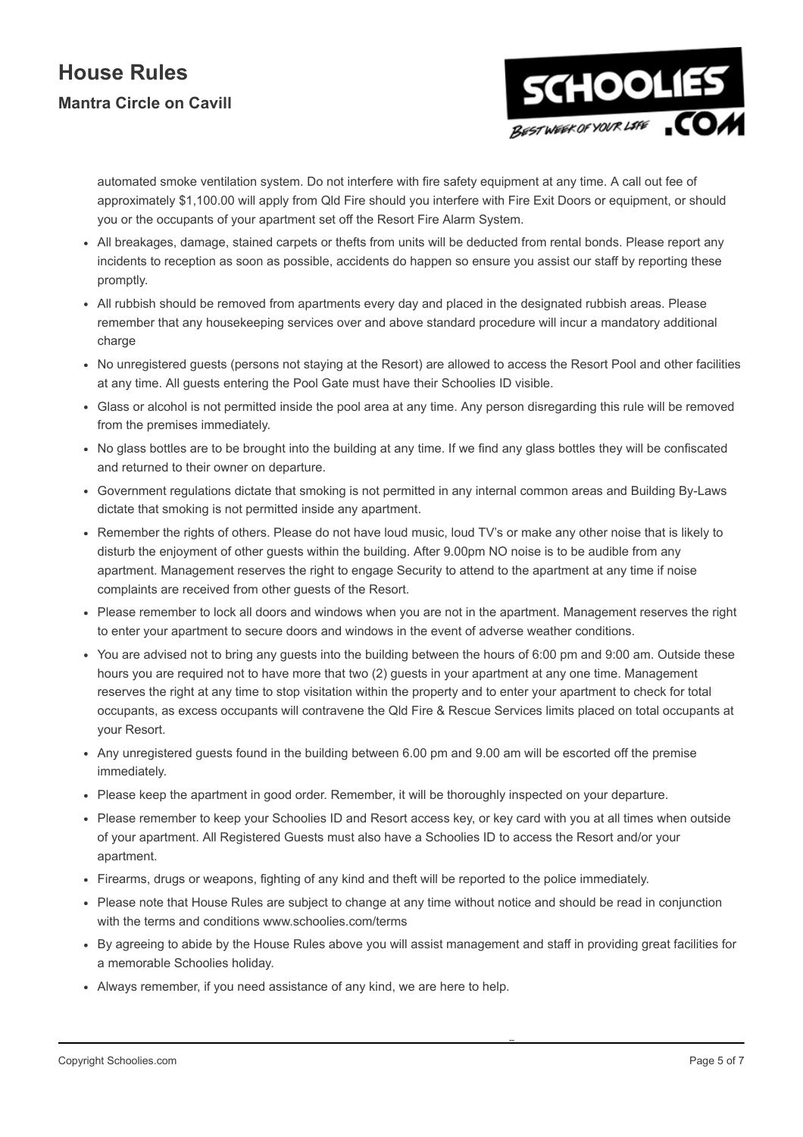

automated smoke ventilation system. Do not interfere with fire safety equipment at any time. A call out fee of approximately \$1,100.00 will apply from Qld Fire should you interfere with Fire Exit Doors or equipment, or should you or the occupants of your apartment set off the Resort Fire Alarm System.

- All breakages, damage, stained carpets or thefts from units will be deducted from rental bonds. Please report any incidents to reception as soon as possible, accidents do happen so ensure you assist our staff by reporting these promptly.
- All rubbish should be removed from apartments every day and placed in the designated rubbish areas. Please remember that any housekeeping services over and above standard procedure will incur a mandatory additional charge
- No unregistered guests (persons not staying at the Resort) are allowed to access the Resort Pool and other facilities at any time. All guests entering the Pool Gate must have their Schoolies ID visible.
- Glass or alcohol is not permitted inside the pool area at any time. Any person disregarding this rule will be removed from the premises immediately.
- No glass bottles are to be brought into the building at any time. If we find any glass bottles they will be confiscated and returned to their owner on departure.
- Government regulations dictate that smoking is not permitted in any internal common areas and Building By-Laws dictate that smoking is not permitted inside any apartment.
- Remember the rights of others. Please do not have loud music, loud TV's or make any other noise that is likely to disturb the enjoyment of other guests within the building. After 9.00pm NO noise is to be audible from any apartment. Management reserves the right to engage Security to attend to the apartment at any time if noise complaints are received from other guests of the Resort.
- Please remember to lock all doors and windows when you are not in the apartment. Management reserves the right to enter your apartment to secure doors and windows in the event of adverse weather conditions.
- You are advised not to bring any guests into the building between the hours of 6:00 pm and 9:00 am. Outside these hours you are required not to have more that two (2) guests in your apartment at any one time. Management reserves the right at any time to stop visitation within the property and to enter your apartment to check for total occupants, as excess occupants will contravene the Qld Fire & Rescue Services limits placed on total occupants at your Resort.
- Any unregistered guests found in the building between 6.00 pm and 9.00 am will be escorted off the premise immediately.
- Please keep the apartment in good order. Remember, it will be thoroughly inspected on your departure.
- Please remember to keep your Schoolies ID and Resort access key, or key card with you at all times when outside of your apartment. All Registered Guests must also have a Schoolies ID to access the Resort and/or your apartment.
- Firearms, drugs or weapons, fighting of any kind and theft will be reported to the police immediately.
- Please note that House Rules are subject to change at any time without notice and should be read in conjunction with the terms and conditions www.schoolies.com/terms
- By agreeing to abide by the House Rules above you will assist management and staff in providing great facilities for a memorable Schoolies holiday.
- Always remember, if you need assistance of any kind, we are here to help.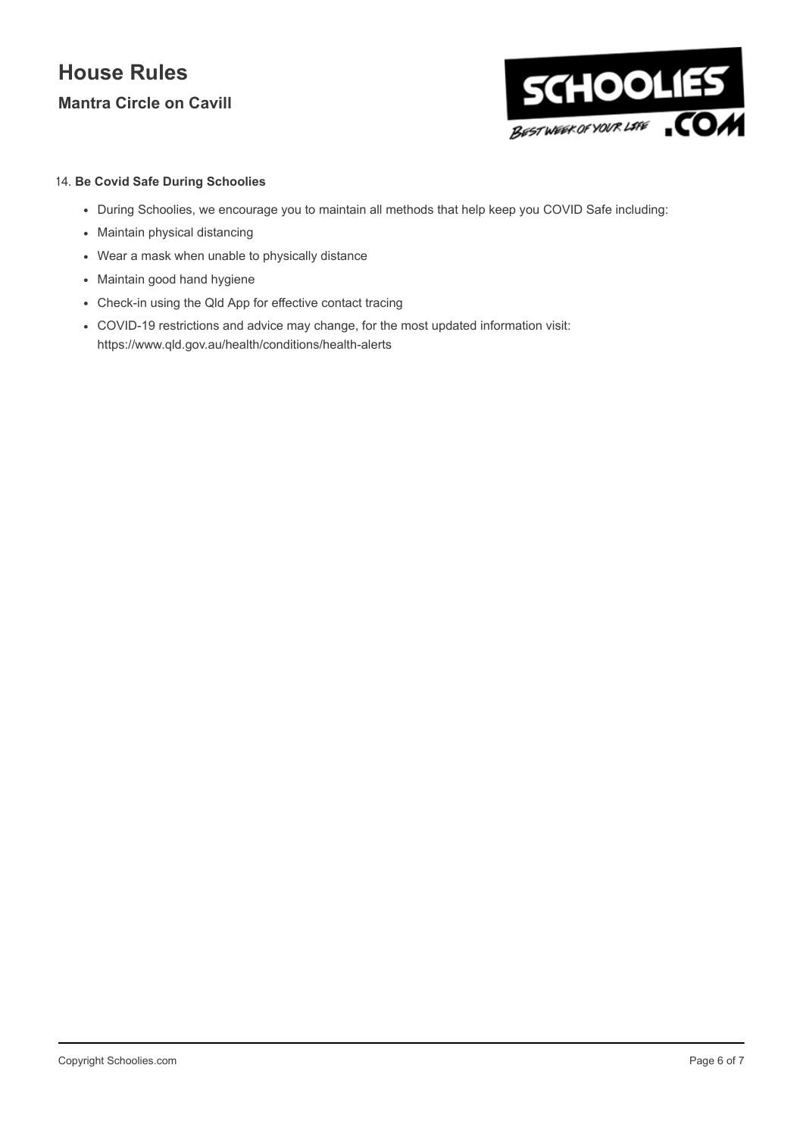

### 14. Be Covid Safe During Schoolies

- During Schoolies, we encourage you to maintain all methods that help keep you COVID Safe including:
- Maintain physical distancing
- Wear a mask when unable to physically distance
- Maintain good hand hygiene
- Check-in using the Qld App for effective contact tracing
- COVID-19 restrictions and advice may change, for the most updated information visit: https://www.qld.gov.au/health/conditions/health-alerts